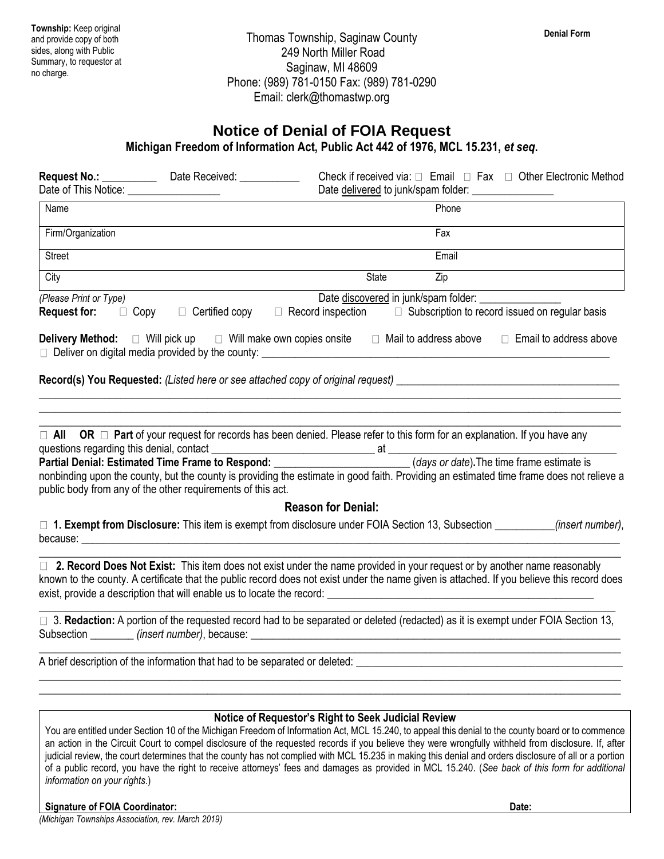## **Notice of Denial of FOIA Request**

**Michigan Freedom of Information Act, Public Act 442 of 1976, MCL 15.231,** *et seq***.**

| Date of This Notice: ________________                                                                   |                         | Check if received via: $\Box$ Email $\Box$ Fax $\Box$ Other Electronic Method                                                                                                                                                                                                    |
|---------------------------------------------------------------------------------------------------------|-------------------------|----------------------------------------------------------------------------------------------------------------------------------------------------------------------------------------------------------------------------------------------------------------------------------|
| Name                                                                                                    |                         | Phone                                                                                                                                                                                                                                                                            |
| Firm/Organization                                                                                       |                         | Fax                                                                                                                                                                                                                                                                              |
| Street                                                                                                  |                         | Email                                                                                                                                                                                                                                                                            |
| City                                                                                                    |                         | State<br>Zip                                                                                                                                                                                                                                                                     |
| (Please Print or Type)<br><b>Request for:</b>                                                           | □ Copy □ Certified copy | Date discovered in junk/spam folder: _________<br>$\Box$ Record inspection<br>$\Box$ Subscription to record issued on regular basis                                                                                                                                              |
|                                                                                                         |                         | <b>Delivery Method:</b> $\Box$ Will pick up $\Box$ Will make own copies onsite $\Box$ Mail to address above<br>$\Box$ Email to address above<br>Deliver on digital media provided by the county: [100] Deliver on digital media provided by the county:                          |
|                                                                                                         |                         | Record(s) You Requested: (Listed here or see attached copy of original request) ______________________________                                                                                                                                                                   |
| questions regarding this denial, contact<br>public body from any of the other requirements of this act. |                         | $\Box$ All OR $\Box$ Part of your request for records has been denied. Please refer to this form for an explanation. If you have any<br>nonbinding upon the county, but the county is providing the estimate in good faith. Providing an estimated time frame does not relieve a |
|                                                                                                         |                         | <b>Reason for Denial:</b>                                                                                                                                                                                                                                                        |
|                                                                                                         |                         | □ 1. Exempt from Disclosure: This item is exempt from disclosure under FOIA Section 13, Subsection _________(insert number),                                                                                                                                                     |
|                                                                                                         |                         | □ 2. Record Does Not Exist: This item does not exist under the name provided in your request or by another name reasonably<br>known to the county. A certificate that the public record does not exist under the name given is attached. If you believe this record does         |
|                                                                                                         |                         | □ 3. Redaction: A portion of the requested record had to be separated or deleted (redacted) as it is exempt under FOIA Section 13,<br>Subsection ________ (insert number), because: ___________________________________                                                          |
|                                                                                                         |                         | A brief description of the information that had to be separated or deleted:                                                                                                                                                                                                      |
|                                                                                                         |                         | Notice of Requestor's Right to Seek Judicial Review                                                                                                                                                                                                                              |

You are entitled under Section 10 of the Michigan Freedom of Information Act, MCL 15.240, to appeal this denial to the county board or to commence an action in the Circuit Court to compel disclosure of the requested records if you believe they were wrongfully withheld from disclosure. If, after judicial review, the court determines that the county has not complied with MCL 15.235 in making this denial and orders disclosure of all or a portion of a public record, you have the right to receive attorneys' fees and damages as provided in MCL 15.240. (*See back of this form for additional information on your rights*.)

## **Signature of FOIA Coordinator: Date:**

*(Michigan Townships Association, rev. March 2019)*